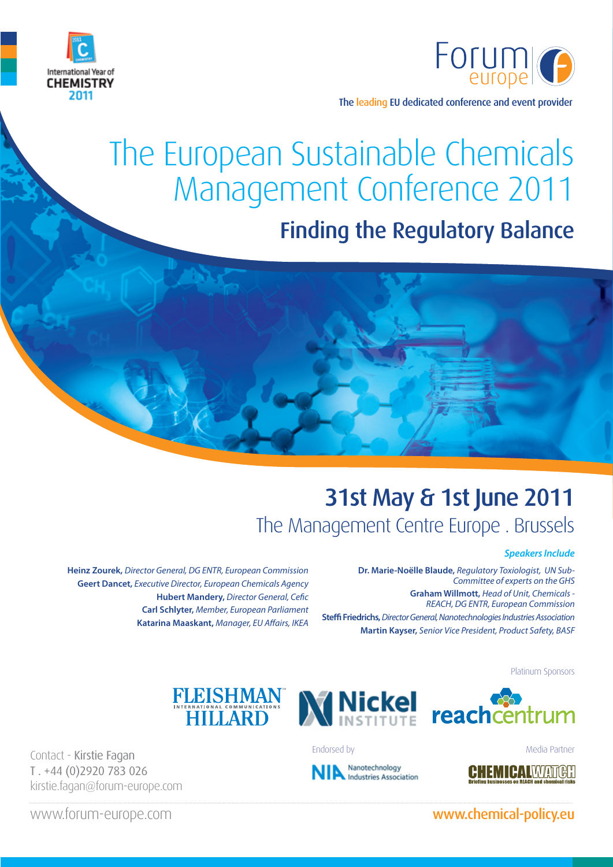



The leading EU dedicated conference and event provider

# The European Sustainable Chemicals Management Conference 2011

# Finding the Regulatory Balance

# 31st May & 1st June 2011 The Management Centre Europe . Brussels

#### *Speakers Include*

**Dr. Marie-Noëlle Blaude,** *Regulatory Toxiologist, UN Sub-Committee of experts on the GHS* **Graham Willmott,** *Head of Unit, Chemicals - REACH, DG ENTR, European Commission* **Steffi Friedrichs,** *Director General, Nanotechnologies Industries Association* **Martin Kayser,** *Senior Vice President, Product Safety, BASF*

Platinum Sponsors





Contact - Kirstie Fagan T . +44 (0)2920 783 026 kirstie.fagan@forum-europe.com

**Heinz Zourek,** *Director General, DG ENTR, European Commission* **Geert Dancet,** *Executive Director, European Chemicals Agency*

> **Hubert Mandery,** *Director General, Cefic* **Carl Schlyter,** *Member, European Parliament* **Katarina Maaskant,** *Manager, EU Affairs, IKEA*

> > Endorsed by **Media Partner**

Nanotechnology **Industries Association** 

### www.forum-europe.com www.chemical-policy.eu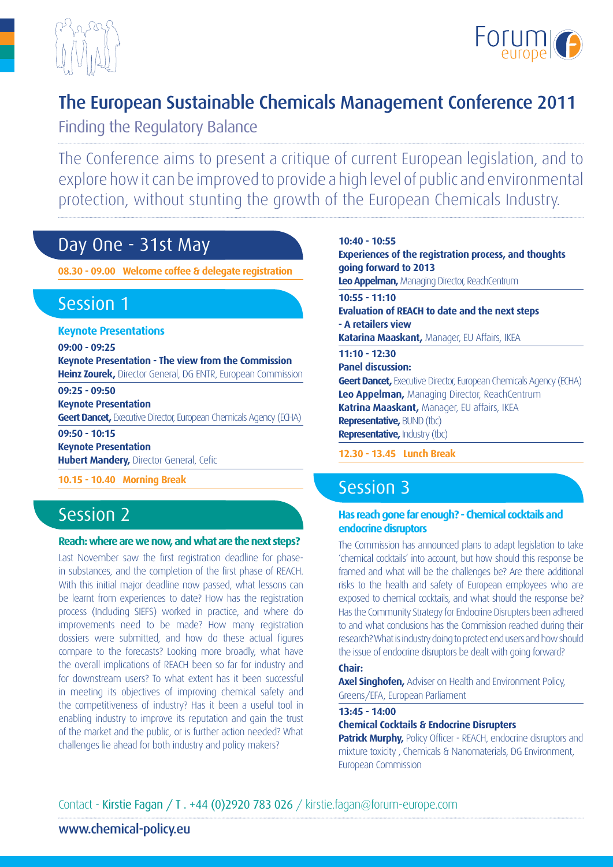



# The European Sustainable Chemicals Management Conference 2011

Finding the Regulatory Balance

The Conference aims to present a critique of current European legislation, and to explore how it can be improved to provide a high level of public and environmental protection, without stunting the growth of the European Chemicals Industry.

# Day One - 31st May

**08.30 - 09.00 Welcome coffee & delegate registration**

# Session 1

**Keynote Presentations**

**09:00 - 09:25**

**Keynote Presentation - The view from the Commission Heinz Zourek,** Director General, DG ENTR, European Commission

**09:25 - 09:50**

**Keynote Presentation**

**Geert Dancet,** Executive Director, European Chemicals Agency (ECHA) **09:50 - 10:15**

**Keynote Presentation**

**Hubert Mandery,** Director General, Cefic

**10.15 - 10.40 Morning Break** 

# Session 2

#### **Reach: where are we now, and what are the next steps?**

Last November saw the first registration deadline for phasein substances, and the completion of the first phase of REACH. With this initial major deadline now passed, what lessons can be learnt from experiences to date? How has the registration process (Including SIEFS) worked in practice, and where do improvements need to be made? How many registration dossiers were submitted, and how do these actual figures compare to the forecasts? Looking more broadly, what have the overall implications of REACH been so far for industry and for downstream users? To what extent has it been successful in meeting its objectives of improving chemical safety and the competitiveness of industry? Has it been a useful tool in enabling industry to improve its reputation and gain the trust of the market and the public, or is further action needed? What challenges lie ahead for both industry and policy makers?

**10:40 - 10:55 Experiences of the registration process, and thoughts going forward to 2013 Leo Appelman,** Managing Director, ReachCentrum **10:55 - 11:10 Evaluation of REACH to date and the next steps - A retailers view Katarina Maaskant,** Manager, EU Affairs, IKEA **11:10 - 12:30 Panel discussion: Geert Dancet, Executive Director, European Chemicals Agency (ECHA) Leo Appelman,** Managing Director, ReachCentrum **Katrina Maaskant,** Manager, EU affairs, IKEA **Representative,** BUND (tbc) **Representative, Industry (tbc) 12.30 - 13.45 Lunch Break** 

# Session 3

#### **Has reach gone far enough? - Chemical cocktails and endocrine disruptors**

The Commission has announced plans to adapt legislation to take 'chemical cocktails' into account, but how should this response be framed and what will be the challenges be? Are there additional risks to the health and safety of European employees who are exposed to chemical cocktails, and what should the response be? Has the Community Strategy for Endocrine Disrupters been adhered to and what conclusions has the Commission reached during their research? What is industry doing to protect end users and how should the issue of endocrine disruptors be dealt with going forward?

#### **Chair:**

**Axel Singhofen,** Adviser on Health and Environment Policy, Greens/EFA, European Parliament

#### **13:45 - 14:00**

#### **Chemical Cocktails & Endocrine Disrupters**

**Patrick Murphy, Policy Officer - REACH, endocrine disruptors and** mixture toxicity , Chemicals & Nanomaterials, DG Environment, European Commission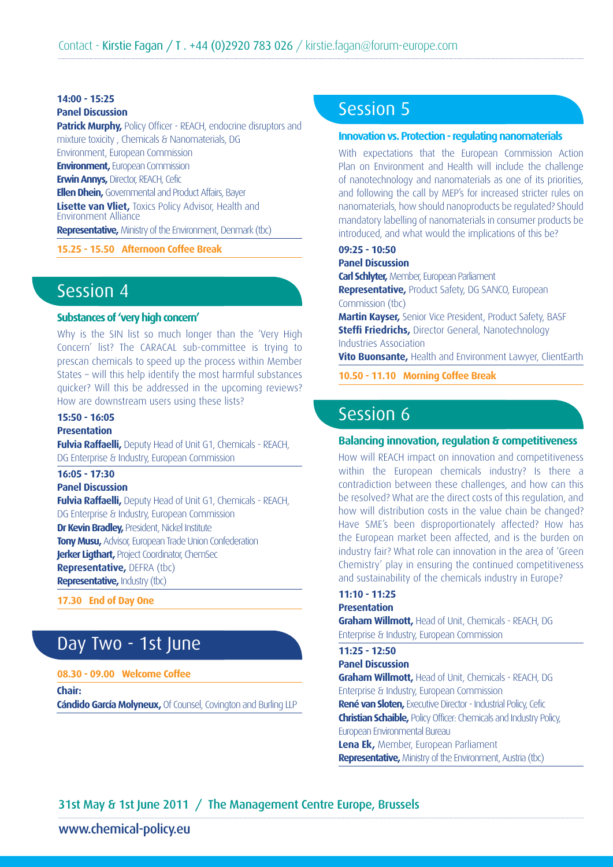## **14:00 - 15:25**

**Panel Discussion**

**Patrick Murphy, Policy Officer - REACH, endocrine disruptors and** mixture toxicity , Chemicals & Nanomaterials, DG Environment, European Commission

**Environment, European Commission** 

**Erwin Annys,** Director, REACH, Cefic

**Ellen Dhein,** Governmental and Product Affairs, Bayer

**Lisette van Vliet,** Toxics Policy Advisor, Health and Environment Alliance

**Representative,** Ministry of the Environment, Denmark (tbc)

**15.25 - 15.50 Afternoon Coffee Break** 

# Session 4

#### **Substances of 'very high concern'**

Why is the SIN list so much longer than the 'Very High Concern' list? The CARACAL sub-committee is trying to prescan chemicals to speed up the process within Member States – will this help identify the most harmful substances quicker? Will this be addressed in the upcoming reviews? How are downstream users using these lists?

#### **15:50 - 16:05**

#### **Presentation**

**Fulvia Raffaelli,** Deputy Head of Unit G1, Chemicals - REACH, DG Enterprise & Industry, European Commission

### **16:05 - 17:30**

**Panel Discussion**

**Fulvia Raffaelli,** Deputy Head of Unit G1, Chemicals - REACH, DG Enterprise & Industry, European Commission **Dr Kevin Bradley,** President, Nickel Institute **Tony Musu,** Advisor, European Trade Union Confederation **Jerker Ligthart, Project Coordinator, ChemSec Representative,** DEFRA (tbc) **Representative,** Industry (tbc)

**17.30 End of Day One**

# Day Two - 1st June

#### **08.30 - 09.00 Welcome Coffee**

**Chair: Cándido García Molyneux,** Of Counsel, Covington and Burling LLP

# Session 5

#### **Innovation vs. Protection - regulating nanomaterials**

With expectations that the European Commission Action Plan on Environment and Health will include the challenge of nanotechnology and nanomaterials as one of its priorities, and following the call by MEP's for increased stricter rules on nanomaterials, how should nanoproducts be regulated? Should mandatory labelling of nanomaterials in consumer products be introduced, and what would the implications of this be?

#### **09:25 - 10:50**

#### **Panel Discussion**

**Carl Schlyter,** Member, European Parliament

**Representative,** Product Safety, DG SANCO, European Commission (tbc)

**Martin Kayser,** Senior Vice President, Product Safety, BASF **Steffi Friedrichs,** Director General, Nanotechnology Industries Association

**Vito Buonsante,** Health and Environment Lawyer, ClientEarth

**10.50 - 11.10 Morning Coffee Break**

## Session 6

#### **Balancing innovation, regulation & competitiveness**

How will REACH impact on innovation and competitiveness within the European chemicals industry? Is there a contradiction between these challenges, and how can this be resolved? What are the direct costs of this regulation, and how will distribution costs in the value chain be changed? Have SME's been disproportionately affected? How has the European market been affected, and is the burden on industry fair? What role can innovation in the area of 'Green Chemistry' play in ensuring the continued competitiveness and sustainability of the chemicals industry in Europe?

#### **11:10 - 11:25 Presentation**

**Graham Willmott,** Head of Unit, Chemicals - REACH, DG Enterprise & Industry, European Commission

### **11:25 - 12:50**

**Panel Discussion Graham Willmott,** Head of Unit, Chemicals - REACH, DG Enterprise & Industry, European Commission **René van Sloten,** Executive Director - Industrial Policy, Cefic **Christian Schaible,** Policy Officer: Chemicals and Industry Policy, European Environmental Bureau **Lena Ek,** Member, European Parliament **Representative,** Ministry of the Environment, Austria (tbc)

### 31st May & 1st June 2011 / The Management Centre Europe, Brussels

### www.chemical-policy.eu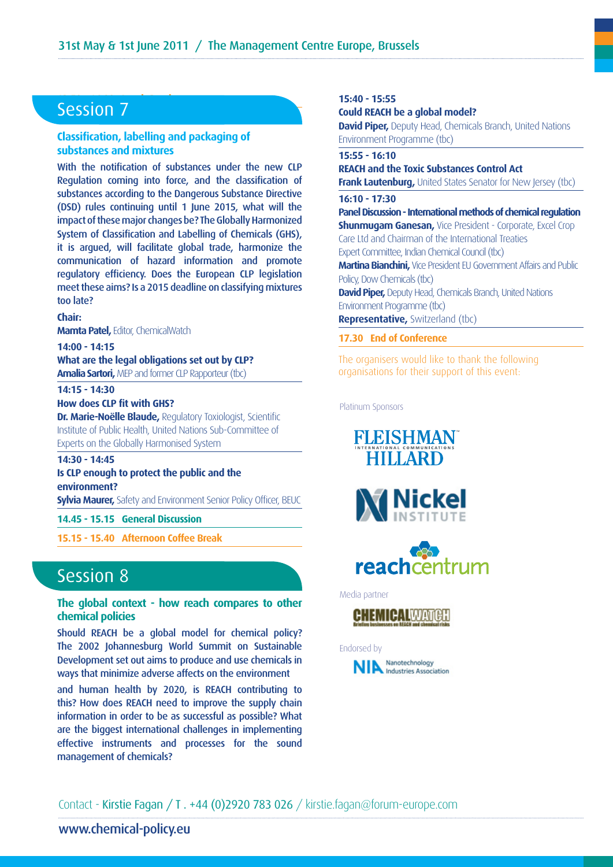# **12.50 Session 7**

#### **Classification, labelling and packaging of substances and mixtures**

With the notification of substances under the new CLP Regulation coming into force, and the classification of substances according to the Dangerous Substance Directive (DSD) rules continuing until 1 June 2015, what will the impact of these major changes be? The Globally Harmonized System of Classification and Labelling of Chemicals (GHS), it is argued, will facilitate global trade, harmonize the communication of hazard information and promote regulatory efficiency. Does the European CLP legislation meet these aims? Is a 2015 deadline on classifying mixtures too late?

#### **Chair:**

**Mamta Patel,** Editor, ChemicalWatch

**14:00 - 14:15 What are the legal obligations set out by CLP? Amalia Sartori,** MEP and former CLP Rapporteur (tbc)

#### **14:15 - 14:30**

**How does CLP fit with GHS?**

**Dr. Marie-Noëlle Blaude, Regulatory Toxiologist, Scientific** Institute of Public Health, United Nations Sub-Committee of Experts on the Globally Harmonised System

#### **14:30 - 14:45**

#### **Is CLP enough to protect the public and the environment?**

**Sylvia Maurer,** Safety and Environment Senior Policy Officer, BEUC

#### **14.45 - 15.15 General Discussion**

**15.15 - 15.40 Afternoon Coffee Break**

## Session 8

**The global context - how reach compares to other chemical policies**

Should REACH be a global model for chemical policy? The 2002 Johannesburg World Summit on Sustainable Development set out aims to produce and use chemicals in ways that minimize adverse affects on the environment

and human health by 2020, is REACH contributing to this? How does REACH need to improve the supply chain information in order to be as successful as possible? What are the biggest international challenges in implementing effective instruments and processes for the sound management of chemicals?

#### **15:40 - 15:55**

**Could REACH be a global model?** 

**David Piper,** Deputy Head, Chemicals Branch, United Nations Environment Programme (tbc)

#### **15:55 - 16:10**

#### **REACH and the Toxic Substances Control Act**

**Frank Lautenburg, United States Senator for New Jersey (tbc)** 

#### **16:10 - 17:30**

**Panel Discussion - International methods of chemical regulation Shunmugam Ganesan, Vice President - Corporate, Excel Crop** Care Ltd and Chairman of the International Treaties Expert Committee, Indian Chemical Council (tbc)

**Martina Bianchini,** Vice President EU Government Affairs and Public Policy, Dow Chemicals (tbc)

**David Piper,** Deputy Head, Chemicals Branch, United Nations Environment Programme (tbc)

**Representative,** Switzerland (tbc)

#### **17.30 End of Conference**

The organisers would like to thank the following organisations for their support of this event:

Platinum Sponsors







Media partner



#### Endorsed by



Contact - Kirstie Fagan / T . +44 (0)2920 783 026 / kirstie.fagan@forum-europe.com

### www.chemical-policy.eu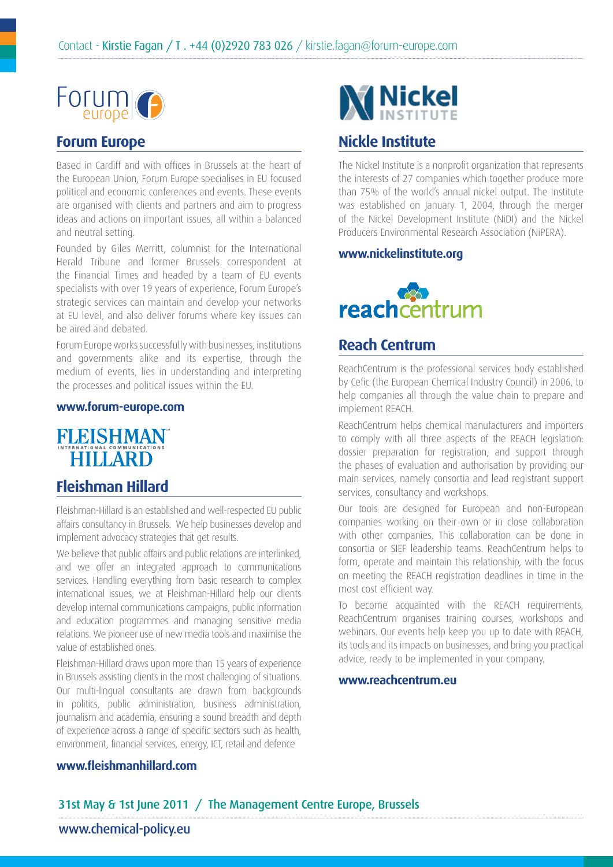

### **Forum Europe**

Based in Cardiff and with offices in Brussels at the heart of the European Union, Forum Europe specialises in EU focused political and economic conferences and events. These events are organised with clients and partners and aim to progress ideas and actions on important issues, all within a balanced and neutral setting.

Founded by Giles Merritt, columnist for the International Herald Tribune and former Brussels correspondent at the Financial Times and headed by a team of EU events specialists with over 19 years of experience, Forum Europe's strategic services can maintain and develop your networks at EU level, and also deliver forums where key issues can be aired and debated.

Forum Europe works successfully with businesses, institutions and governments alike and its expertise, through the medium of events, lies in understanding and interpreting the processes and political issues within the EU.

#### **www.forum-europe.com**



### **Fleishman Hillard**

Fleishman-Hillard is an established and well-respected EU public affairs consultancy in Brussels. We help businesses develop and implement advocacy strategies that get results.

We believe that public affairs and public relations are interlinked, and we offer an integrated approach to communications services. Handling everything from basic research to complex international issues, we at Fleishman-Hillard help our clients develop internal communications campaigns, public information and education programmes and managing sensitive media relations. We pioneer use of new media tools and maximise the value of established ones.

Fleishman-Hillard draws upon more than 15 years of experience in Brussels assisting clients in the most challenging of situations. Our multi-lingual consultants are drawn from backgrounds in politics, public administration, business administration, journalism and academia, ensuring a sound breadth and depth of experience across a range of specific sectors such as health, environment, financial services, energy, ICT, retail and defence



### **Nickle Institute**

The Nickel Institute is a nonprofit organization that represents the interests of 27 companies which together produce more than 75% of the world's annual nickel output. The Institute was established on January 1, 2004, through the merger of the Nickel Development Institute (NiDI) and the Nickel Producers Environmental Research Association (NiPERA).

#### **www.nickelinstitute.org**



### **Reach Centrum**

ReachCentrum is the professional services body established by Cefic (the European Chemical Industry Council) in 2006, to help companies all through the value chain to prepare and implement REACH.

ReachCentrum helps chemical manufacturers and importers to comply with all three aspects of the REACH legislation: dossier preparation for registration, and support through the phases of evaluation and authorisation by providing our main services, namely consortia and lead registrant support services, consultancy and workshops.

Our tools are designed for European and non-European companies working on their own or in close collaboration with other companies. This collaboration can be done in consortia or SIEF leadership teams. ReachCentrum helps to form, operate and maintain this relationship, with the focus on meeting the REACH registration deadlines in time in the most cost efficient way.

To become acquainted with the REACH requirements, ReachCentrum organises training courses, workshops and webinars. Our events help keep you up to date with REACH, its tools and its impacts on businesses, and bring you practical advice, ready to be implemented in your company.

#### **www.reachcentrum.eu**

### **www.fleishmanhillard.com**

### 31st May & 1st June 2011 / The Management Centre Europe, Brussels

### www.chemical-policy.eu